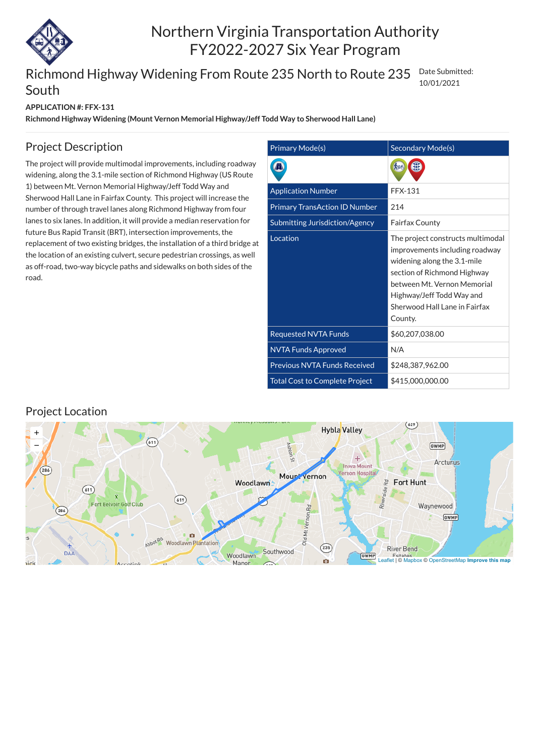

# Northern Virginia Transportation Authority FY2022-2027 Six Year Program

#### **APPLICATION #: FFX-131**

#### Richmond Highway Widening From Route 235 North to Route 235 South Date Submitted: 10/01/2021

**Richmond Highway Widening (Mount Vernon Memorial Highway/Jeff Todd Way to Sherwood Hall Lane)**

| Primary Mode(s)                       | Secondary Mode(s)                                                                                                                                                                                                                         |
|---------------------------------------|-------------------------------------------------------------------------------------------------------------------------------------------------------------------------------------------------------------------------------------------|
|                                       |                                                                                                                                                                                                                                           |
| <b>Application Number</b>             | <b>FFX-131</b>                                                                                                                                                                                                                            |
| <b>Primary TransAction ID Number</b>  | 214                                                                                                                                                                                                                                       |
| Submitting Jurisdiction/Agency        | <b>Fairfax County</b>                                                                                                                                                                                                                     |
| Location                              | The project constructs multimodal<br>improvements including roadway<br>widening along the 3.1-mile<br>section of Richmond Highway<br>between Mt. Vernon Memorial<br>Highway/Jeff Todd Way and<br>Sherwood Hall Lane in Fairfax<br>County. |
| <b>Requested NVTA Funds</b>           | \$60,207,038.00                                                                                                                                                                                                                           |
| <b>NVTA Funds Approved</b>            | N/A                                                                                                                                                                                                                                       |
| <b>Previous NVTA Funds Received</b>   | \$248,387,962.00                                                                                                                                                                                                                          |
| <b>Total Cost to Complete Project</b> | \$415,000,000.00                                                                                                                                                                                                                          |

### Project Description

The project will provide multimodal improvements, including roadway widening, along the 3.1-mile section of Richmond Highway (US Route 1) between Mt. Vernon Memorial Highway/Jeff Todd Way and Sherwood Hall Lane in Fairfax County. This project will increase the number of through travel lanes along Richmond Highway from four lanes to six lanes. In addition, it will provide a median reservation for future Bus Rapid Transit (BRT), intersection improvements, the replacement of two existing bridges, the installation of a third bridge at the location of an existing culvert, secure pedestrian crossings, as well as off-road, two-way bicycle paths and sidewalks on both sides of the road.

### Project Location